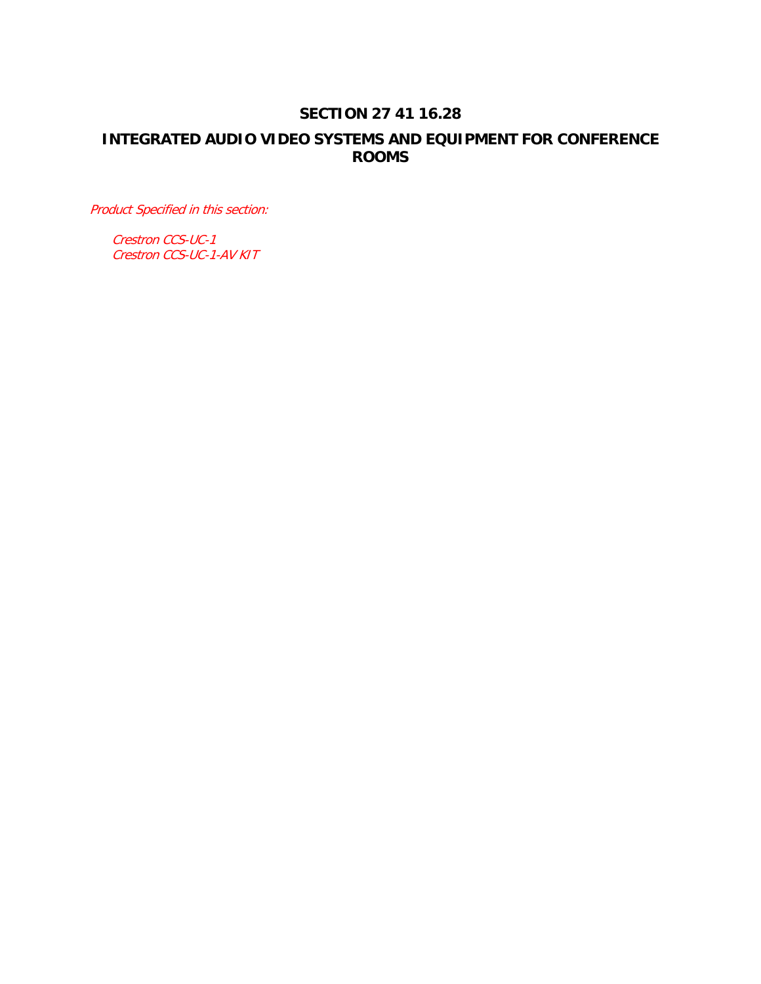# **SECTION 27 41 16.28**

# **INTEGRATED AUDIO VIDEO SYSTEMS AND EQUIPMENT FOR CONFERENCE ROOMS**

Product Specified in this section:

Crestron CCS-UC-1 Crestron CCS-UC-1-AV KIT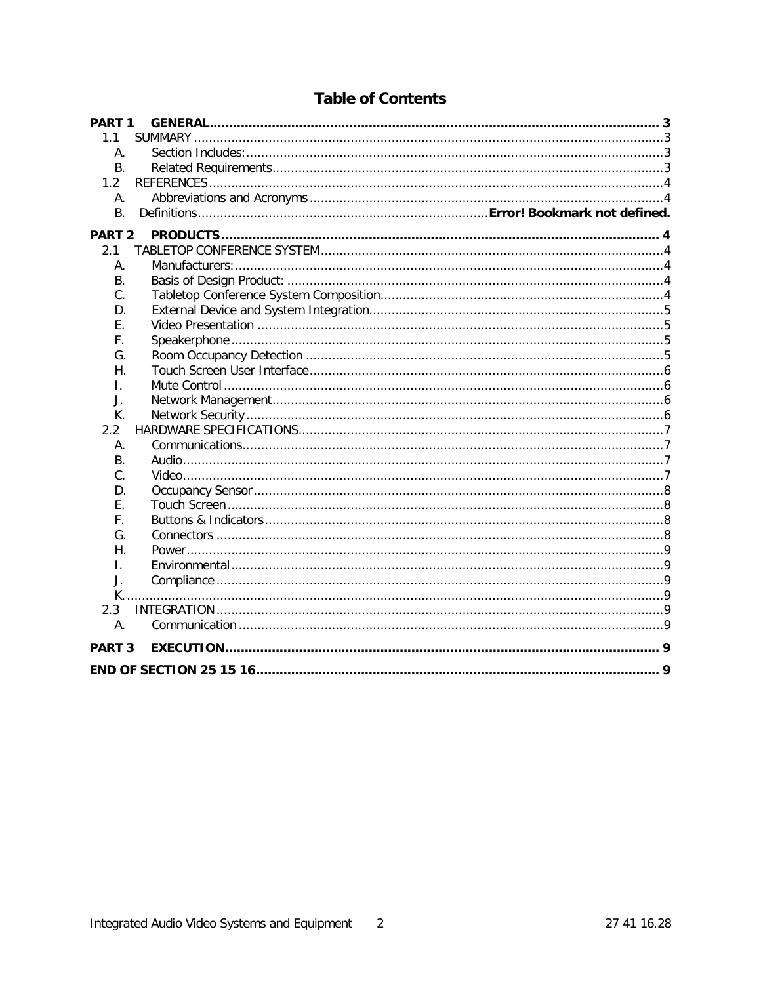| PART <sub>1</sub> |  |  |
|-------------------|--|--|
| 1.1               |  |  |
| А.                |  |  |
| <b>B.</b>         |  |  |
| 1.2               |  |  |
| А.                |  |  |
| <b>B.</b>         |  |  |
| <b>PART 2</b>     |  |  |
| 2.1               |  |  |
| А.                |  |  |
| <b>B.</b>         |  |  |
| C.                |  |  |
| D.                |  |  |
| Ε.                |  |  |
| F.                |  |  |
| G.                |  |  |
| Η.                |  |  |
| I.                |  |  |
| J.                |  |  |
| К.                |  |  |
| 2.2               |  |  |
| Α.                |  |  |
| <b>B.</b>         |  |  |
| C.                |  |  |
| D.                |  |  |
| $F_{\perp}$       |  |  |
| F.                |  |  |
| G.                |  |  |
| Η.                |  |  |
| Τ.                |  |  |
| J.                |  |  |
|                   |  |  |
| 2.3               |  |  |
| A.                |  |  |
| PART <sub>3</sub> |  |  |
|                   |  |  |

# **Table of Contents**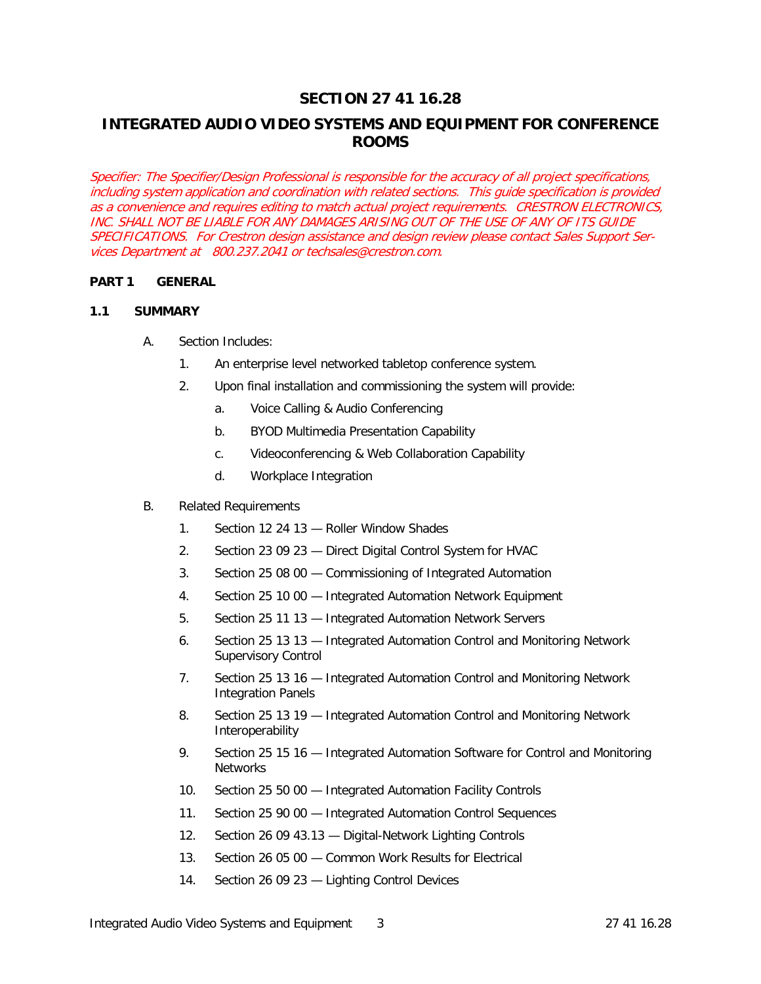# **SECTION 27 41 16.28**

# **INTEGRATED AUDIO VIDEO SYSTEMS AND EQUIPMENT FOR CONFERENCE ROOMS**

Specifier: The Specifier/Design Professional is responsible for the accuracy of all project specifications, including system application and coordination with related sections. This guide specification is provided as a convenience and requires editing to match actual project requirements. CRESTRON ELECTRONICS, INC. SHALL NOT BE LIABLE FOR ANY DAMAGES ARISING OUT OF THE USE OF ANY OF ITS GUIDE SPECIFICATIONS. For Crestron design assistance and design review please contact Sales Support Services Department at 800.237.2041 or techsales@crestron.com.

## **PART 1 GENERAL**

#### **1.1 SUMMARY**

- A. Section Includes:
	- 1. An enterprise level networked tabletop conference system.
	- 2. Upon final installation and commissioning the system will provide:
		- a. Voice Calling & Audio Conferencing
		- b. BYOD Multimedia Presentation Capability
		- c. Videoconferencing & Web Collaboration Capability
		- d. Workplace Integration
- B. Related Requirements
	- 1. Section 12 24 13 Roller Window Shades
	- 2. Section 23 09 23 Direct Digital Control System for HVAC
	- 3. Section 25 08 00 Commissioning of Integrated Automation
	- 4. Section 25 10 00 Integrated Automation Network Equipment
	- 5. Section 25 11 13 Integrated Automation Network Servers
	- 6. Section 25 13 13 Integrated Automation Control and Monitoring Network Supervisory Control
	- 7. Section 25 13 16 Integrated Automation Control and Monitoring Network Integration Panels
	- 8. Section 25 13 19 Integrated Automation Control and Monitoring Network Interoperability
	- 9. Section 25 15 16 Integrated Automation Software for Control and Monitoring **Networks**
	- 10. Section 25 50 00 Integrated Automation Facility Controls
	- 11. Section 25 90 00 Integrated Automation Control Sequences
	- 12. Section 26 09 43.13 Digital-Network Lighting Controls
	- 13. Section 26 05 00 Common Work Results for Electrical
	- 14. Section 26 09 23 Lighting Control Devices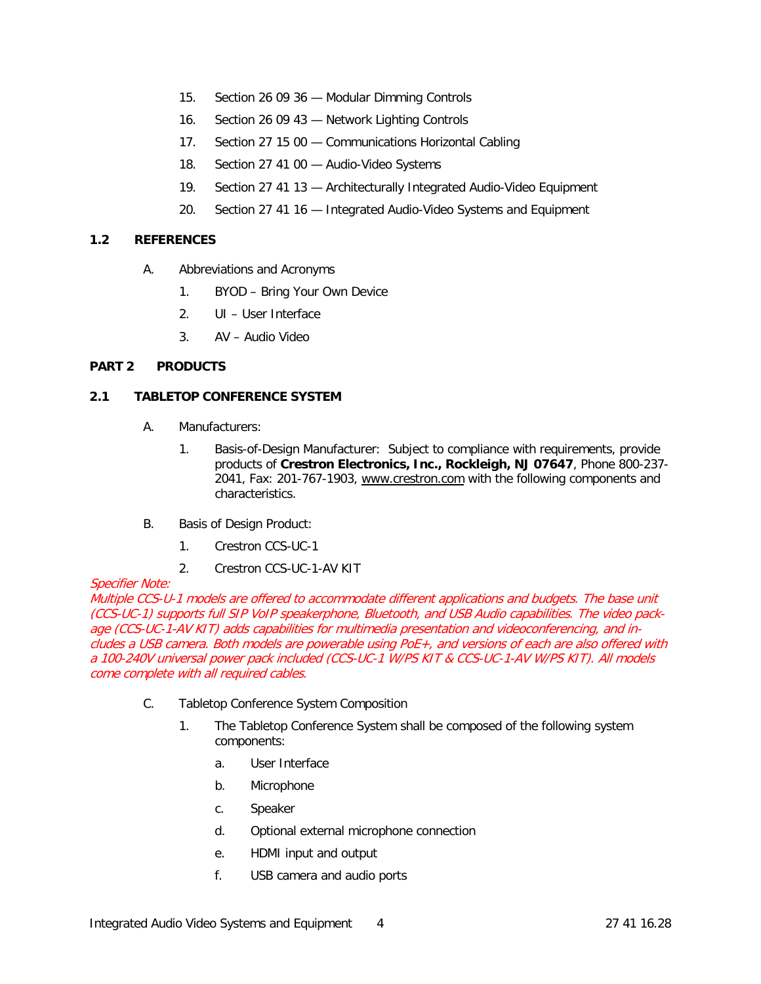- 15. Section 26 09 36 Modular Dimming Controls
- 16. Section 26 09 43 Network Lighting Controls
- 17. Section 27 15 00 Communications Horizontal Cabling
- 18. Section 27 41 00 Audio-Video Systems
- 19. Section 27 41 13 Architecturally Integrated Audio-Video Equipment
- 20. Section 27 41 16 Integrated Audio-Video Systems and Equipment

## **1.2 REFERENCES**

- A. Abbreviations and Acronyms
	- 1. BYOD Bring Your Own Device
	- 2. UI User Interface
	- 3. AV Audio Video

## **PART 2 PRODUCTS**

## **2.1 TABLETOP CONFERENCE SYSTEM**

- A. Manufacturers:
	- 1. Basis-of-Design Manufacturer: Subject to compliance with requirements, provide products of **Crestron Electronics, Inc., Rockleigh, NJ 07647**, Phone 800-237- 2041, Fax: 201-767-1903, [www.crestron.com](http://www.crestron.com/) with the following components and characteristics.
- B. Basis of Design Product:
	- 1. Crestron CCS-UC-1
	- 2. Crestron CCS-UC-1-AV KIT

#### Specifier Note:

Multiple CCS-U-1 models are offered to accommodate different applications and budgets. The base unit (CCS-UC-1) supports full SIP VoIP speakerphone, Bluetooth, and USB Audio capabilities. The video package (CCS-UC-1-AV KIT) adds capabilities for multimedia presentation and videoconferencing, and includes a USB camera. Both models are powerable using PoE+, and versions of each are also offered with a 100-240V universal power pack included (CCS-UC-1 W/PS KIT & CCS-UC-1-AV W/PS KIT). All models come complete with all required cables.

- C. Tabletop Conference System Composition
	- 1. The Tabletop Conference System shall be composed of the following system components:
		- a. User Interface
		- b. Microphone
		- c. Speaker
		- d. Optional external microphone connection
		- e. HDMI input and output
		- f. USB camera and audio ports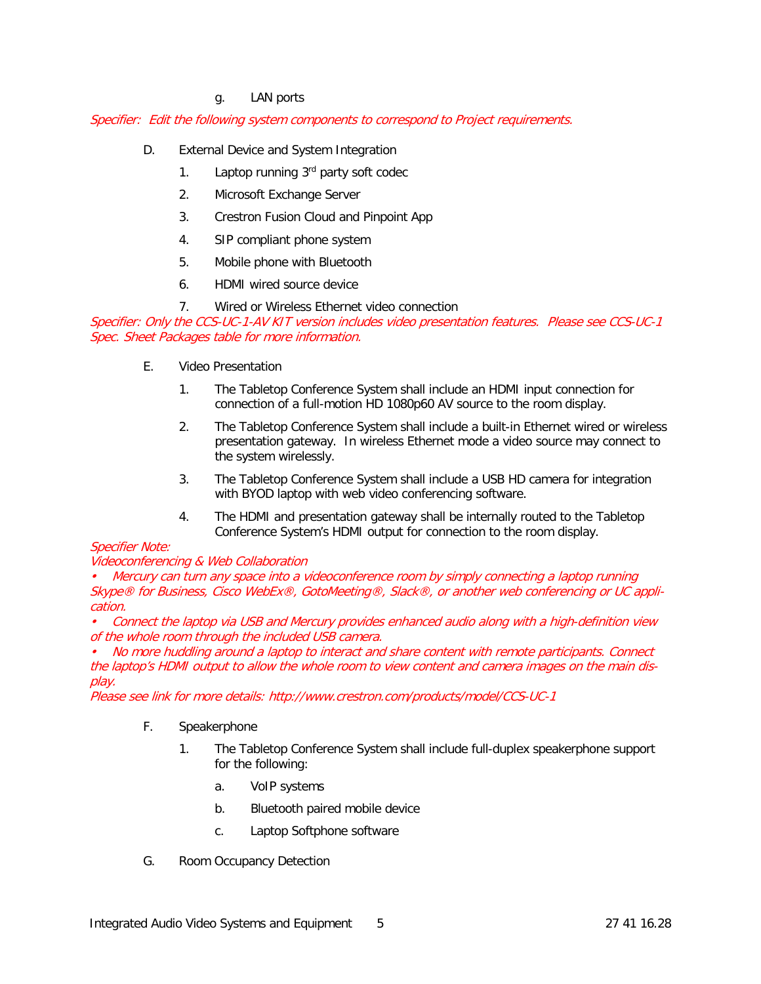## g. LAN ports

#### Specifier: Edit the following system components to correspond to Project requirements.

- D. External Device and System Integration
	- 1. Laptop running  $3<sup>rd</sup>$  party soft codec
	- 2. Microsoft Exchange Server
	- 3. Crestron Fusion Cloud and Pinpoint App
	- 4. SIP compliant phone system
	- 5. Mobile phone with Bluetooth
	- 6. HDMI wired source device

7. Wired or Wireless Ethernet video connection

Specifier: Only the CCS-UC-1-AV KIT version includes video presentation features. Please see CCS-UC-1 Spec. Sheet Packages table for more information.

- E. Video Presentation
	- 1. The Tabletop Conference System shall include an HDMI input connection for connection of a full-motion HD 1080p60 AV source to the room display.
	- 2. The Tabletop Conference System shall include a built-in Ethernet wired or wireless presentation gateway. In wireless Ethernet mode a video source may connect to the system wirelessly.
	- 3. The Tabletop Conference System shall include a USB HD camera for integration with BYOD laptop with web video conferencing software.
	- 4. The HDMI and presentation gateway shall be internally routed to the Tabletop Conference System's HDMI output for connection to the room display.

#### Specifier Note:

#### Videoconferencing & Web Collaboration

• Mercury can turn any space into a videoconference room by simply connecting a laptop running Skype® for Business, Cisco WebEx®, GotoMeeting®, Slack®, or another web conferencing or UC application.

• Connect the laptop via USB and Mercury provides enhanced audio along with a high-definition view of the whole room through the included USB camera.

• No more huddling around a laptop to interact and share content with remote participants. Connect the laptop's HDMI output to allow the whole room to view content and camera images on the main display.

Please see link for more details: http://www.crestron.com/products/model/CCS-UC-1

#### F. Speakerphone

- 1. The Tabletop Conference System shall include full-duplex speakerphone support for the following:
	- a. VoIP systems
	- b. Bluetooth paired mobile device
	- c. Laptop Softphone software
- G. Room Occupancy Detection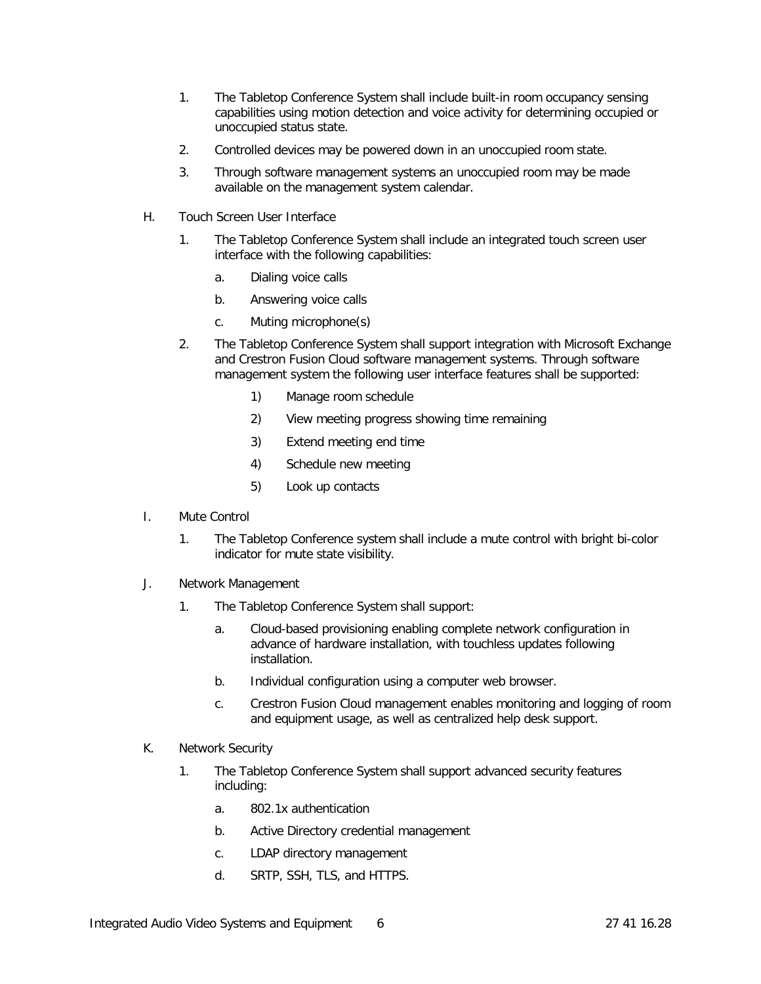- 1. The Tabletop Conference System shall include built-in room occupancy sensing capabilities using motion detection and voice activity for determining occupied or unoccupied status state.
- 2. Controlled devices may be powered down in an unoccupied room state.
- 3. Through software management systems an unoccupied room may be made available on the management system calendar.
- H. Touch Screen User Interface
	- 1. The Tabletop Conference System shall include an integrated touch screen user interface with the following capabilities:
		- a. Dialing voice calls
		- b. Answering voice calls
		- c. Muting microphone(s)
	- 2. The Tabletop Conference System shall support integration with Microsoft Exchange and Crestron Fusion Cloud software management systems. Through software management system the following user interface features shall be supported:
		- 1) Manage room schedule
		- 2) View meeting progress showing time remaining
		- 3) Extend meeting end time
		- 4) Schedule new meeting
		- 5) Look up contacts
- I. Mute Control
	- 1. The Tabletop Conference system shall include a mute control with bright bi-color indicator for mute state visibility.
- J. Network Management
	- 1. The Tabletop Conference System shall support:
		- a. Cloud-based provisioning enabling complete network configuration in advance of hardware installation, with touchless updates following installation.
		- b. Individual configuration using a computer web browser.
		- c. Crestron Fusion Cloud management enables monitoring and logging of room and equipment usage, as well as centralized help desk support.
- K. Network Security
	- 1. The Tabletop Conference System shall support advanced security features including:
		- a. 802.1x authentication
		- b. Active Directory credential management
		- c. LDAP directory management
		- d. SRTP, SSH, TLS, and HTTPS.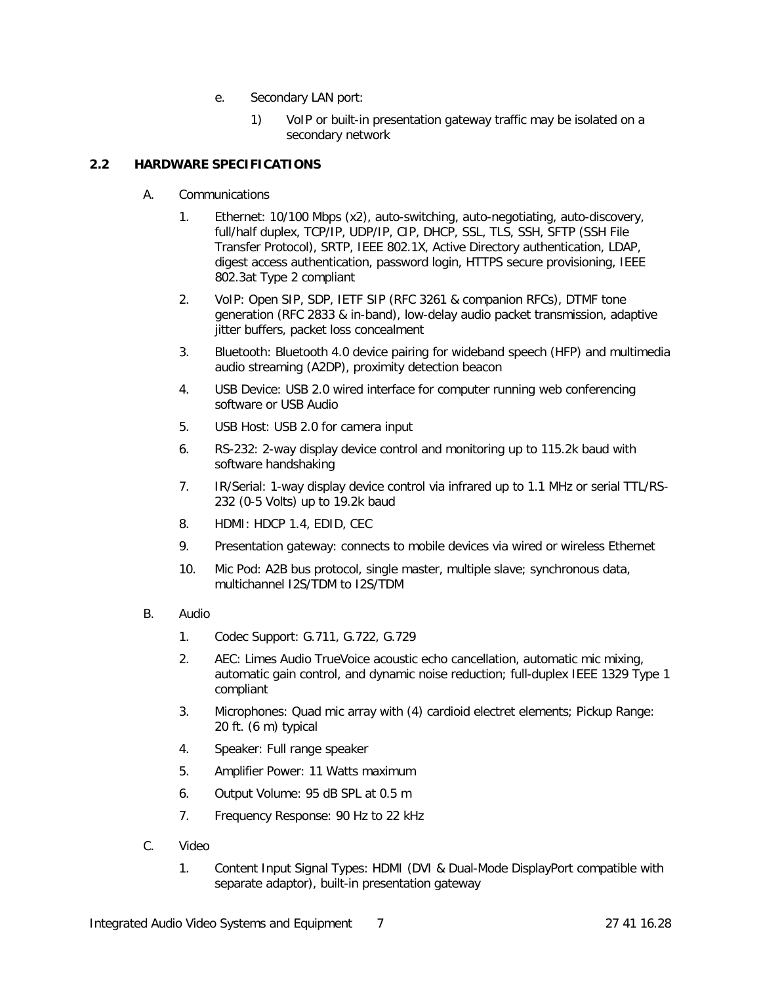- e. Secondary LAN port:
	- 1) VoIP or built-in presentation gateway traffic may be isolated on a secondary network

## **2.2 HARDWARE SPECIFICATIONS**

- A. Communications
	- 1. Ethernet: 10/100 Mbps (x2), auto-switching, auto-negotiating, auto-discovery, full/half duplex, TCP/IP, UDP/IP, CIP, DHCP, SSL, TLS, SSH, SFTP (SSH File Transfer Protocol), SRTP, IEEE 802.1X, Active Directory authentication, LDAP, digest access authentication, password login, HTTPS secure provisioning, IEEE 802.3at Type 2 compliant
	- 2. VoIP: Open SIP, SDP, IETF SIP (RFC 3261 & companion RFCs), DTMF tone generation (RFC 2833 & in-band), low-delay audio packet transmission, adaptive jitter buffers, packet loss concealment
	- 3. Bluetooth: Bluetooth 4.0 device pairing for wideband speech (HFP) and multimedia audio streaming (A2DP), proximity detection beacon
	- 4. USB Device: USB 2.0 wired interface for computer running web conferencing software or USB Audio
	- 5. USB Host: USB 2.0 for camera input
	- 6. RS-232: 2-way display device control and monitoring up to 115.2k baud with software handshaking
	- 7. IR/Serial: 1-way display device control via infrared up to 1.1 MHz or serial TTL/RS-232 (0-5 Volts) up to 19.2k baud
	- 8. HDMI: HDCP 1.4, EDID, CEC
	- 9. Presentation gateway: connects to mobile devices via wired or wireless Ethernet
	- 10. Mic Pod: A2B bus protocol, single master, multiple slave; synchronous data, multichannel I2S/TDM to I2S/TDM
- B. Audio
	- 1. Codec Support: G.711, G.722, G.729
	- 2. AEC: Limes Audio TrueVoice acoustic echo cancellation, automatic mic mixing, automatic gain control, and dynamic noise reduction; full-duplex IEEE 1329 Type 1 compliant
	- 3. Microphones: Quad mic array with (4) cardioid electret elements; Pickup Range: 20 ft. (6 m) typical
	- 4. Speaker: Full range speaker
	- 5. Amplifier Power: 11 Watts maximum
	- 6. Output Volume: 95 dB SPL at 0.5 m
	- 7. Frequency Response: 90 Hz to 22 kHz
- C. Video
	- 1. Content Input Signal Types: HDMI (DVI & Dual-Mode DisplayPort compatible with separate adaptor), built-in presentation gateway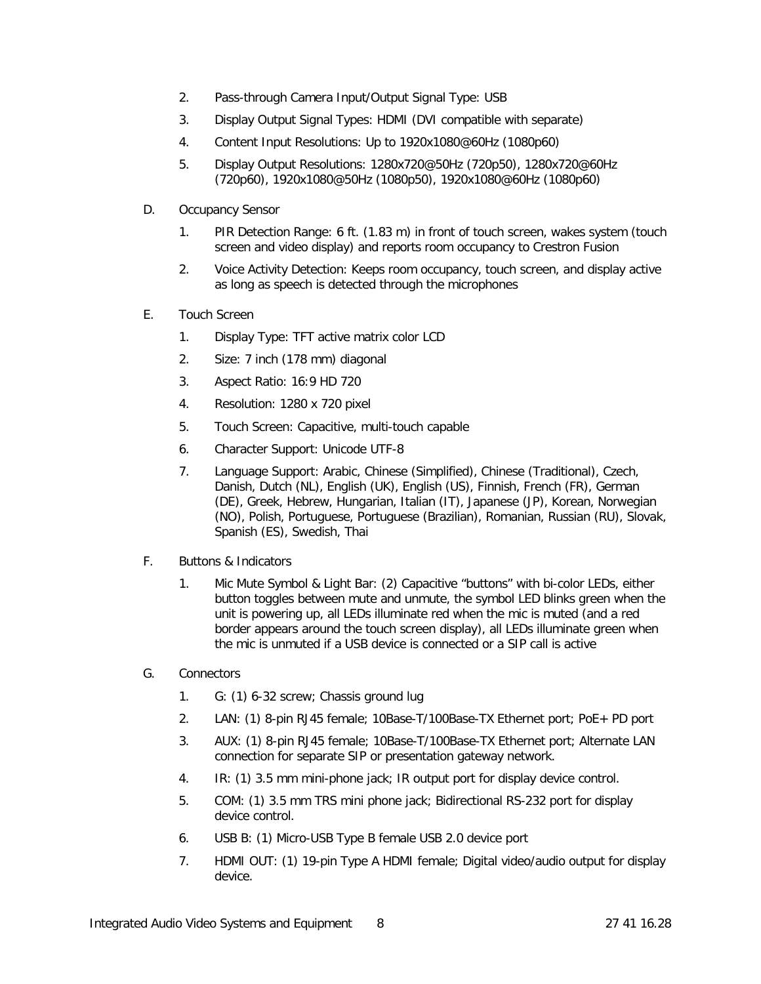- 2. Pass-through Camera Input/Output Signal Type: USB
- 3. Display Output Signal Types: HDMI (DVI compatible with separate)
- 4. Content Input Resolutions: Up to 1920x1080@60Hz (1080p60)
- 5. Display Output Resolutions: 1280x720@50Hz (720p50), 1280x720@60Hz (720p60), 1920x1080@50Hz (1080p50), 1920x1080@60Hz (1080p60)
- D. Occupancy Sensor
	- 1. PIR Detection Range: 6 ft. (1.83 m) in front of touch screen, wakes system (touch screen and video display) and reports room occupancy to Crestron Fusion
	- 2. Voice Activity Detection: Keeps room occupancy, touch screen, and display active as long as speech is detected through the microphones
- E. Touch Screen
	- 1. Display Type: TFT active matrix color LCD
	- 2. Size: 7 inch (178 mm) diagonal
	- 3. Aspect Ratio: 16:9 HD 720
	- 4. Resolution: 1280 x 720 pixel
	- 5. Touch Screen: Capacitive, multi-touch capable
	- 6. Character Support: Unicode UTF-8
	- 7. Language Support: Arabic, Chinese (Simplified), Chinese (Traditional), Czech, Danish, Dutch (NL), English (UK), English (US), Finnish, French (FR), German (DE), Greek, Hebrew, Hungarian, Italian (IT), Japanese (JP), Korean, Norwegian (NO), Polish, Portuguese, Portuguese (Brazilian), Romanian, Russian (RU), Slovak, Spanish (ES), Swedish, Thai
- F. Buttons & Indicators
	- 1. Mic Mute Symbol & Light Bar: (2) Capacitive "buttons" with bi-color LEDs, either button toggles between mute and unmute, the symbol LED blinks green when the unit is powering up, all LEDs illuminate red when the mic is muted (and a red border appears around the touch screen display), all LEDs illuminate green when the mic is unmuted if a USB device is connected or a SIP call is active
- G. Connectors
	- 1. G: (1) 6-32 screw; Chassis ground lug
	- 2. LAN: (1) 8-pin RJ45 female; 10Base-T/100Base-TX Ethernet port; PoE+ PD port
	- 3. AUX: (1) 8-pin RJ45 female; 10Base-T/100Base-TX Ethernet port; Alternate LAN connection for separate SIP or presentation gateway network.
	- 4. IR: (1) 3.5 mm mini-phone jack; IR output port for display device control.
	- 5. COM: (1) 3.5 mm TRS mini phone jack; Bidirectional RS-232 port for display device control.
	- 6. USB B: (1) Micro-USB Type B female USB 2.0 device port
	- 7. HDMI OUT: (1) 19-pin Type A HDMI female; Digital video/audio output for display device.